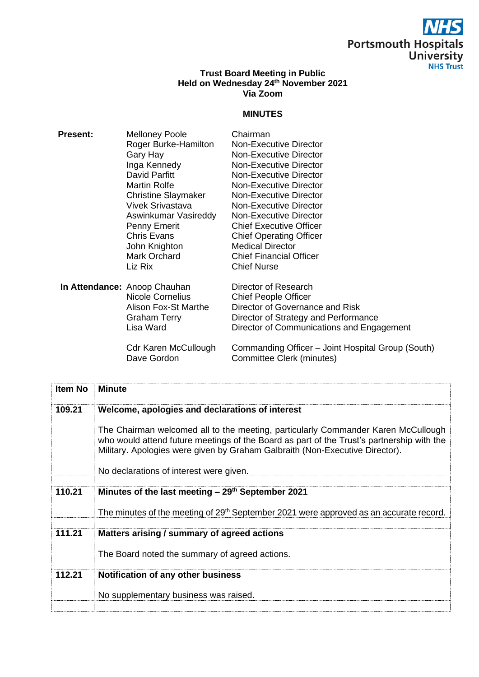## $\overline{\bm{S}}$ **Portsmouth Hospitals<br>University<br>NHS Trust**

## **Trust Board Meeting in Public Held on Wednesday 24 th November 2021 Via Zoom**

## **MINUTES**

| <b>Present:</b> | <b>Melloney Poole</b>                      | Chairman                                                                       |
|-----------------|--------------------------------------------|--------------------------------------------------------------------------------|
|                 | Roger Burke-Hamilton                       | Non-Executive Director                                                         |
|                 | Gary Hay                                   | Non-Executive Director                                                         |
|                 | Inga Kennedy                               | Non-Executive Director                                                         |
|                 | David Parfitt                              | Non-Executive Director                                                         |
|                 | <b>Martin Rolfe</b>                        | Non-Executive Director                                                         |
|                 | <b>Christine Slaymaker</b>                 | Non-Executive Director                                                         |
|                 | <b>Vivek Srivastava</b>                    | Non-Executive Director                                                         |
|                 | Aswinkumar Vasireddy                       | Non-Executive Director                                                         |
|                 | Penny Emerit                               | <b>Chief Executive Officer</b>                                                 |
|                 | <b>Chris Evans</b>                         | <b>Chief Operating Officer</b>                                                 |
|                 | John Knighton                              | <b>Medical Director</b>                                                        |
|                 | Mark Orchard                               | <b>Chief Financial Officer</b>                                                 |
|                 | Liz Rix                                    | <b>Chief Nurse</b>                                                             |
|                 | In Attendance: Anoop Chauhan               | Director of Research                                                           |
|                 | Nicole Cornelius                           | <b>Chief People Officer</b>                                                    |
|                 | Alison Fox-St Marthe                       | Director of Governance and Risk                                                |
|                 | <b>Graham Terry</b>                        | Director of Strategy and Performance                                           |
|                 | Lisa Ward                                  | Director of Communications and Engagement                                      |
|                 | <b>Cdr Karen McCullough</b><br>Dave Gordon | Commanding Officer - Joint Hospital Group (South)<br>Committee Clerk (minutes) |
|                 |                                            |                                                                                |

| <b>Item No</b> | <b>Minute</b>                                                                                                                                                                                                                                                  |
|----------------|----------------------------------------------------------------------------------------------------------------------------------------------------------------------------------------------------------------------------------------------------------------|
| 109.21         | Welcome, apologies and declarations of interest                                                                                                                                                                                                                |
|                | The Chairman welcomed all to the meeting, particularly Commander Karen McCullough<br>who would attend future meetings of the Board as part of the Trust's partnership with the<br>Military. Apologies were given by Graham Galbraith (Non-Executive Director). |
|                | No declarations of interest were given.                                                                                                                                                                                                                        |
| 110.21         | Minutes of the last meeting $-29th$ September 2021                                                                                                                                                                                                             |
|                |                                                                                                                                                                                                                                                                |
|                | The minutes of the meeting of 29 <sup>th</sup> September 2021 were approved as an accurate record.                                                                                                                                                             |
| 111.21         | Matters arising / summary of agreed actions                                                                                                                                                                                                                    |
|                | The Board noted the summary of agreed actions.                                                                                                                                                                                                                 |
|                |                                                                                                                                                                                                                                                                |
| 112.21         | Notification of any other business                                                                                                                                                                                                                             |
|                | No supplementary business was raised.                                                                                                                                                                                                                          |
|                |                                                                                                                                                                                                                                                                |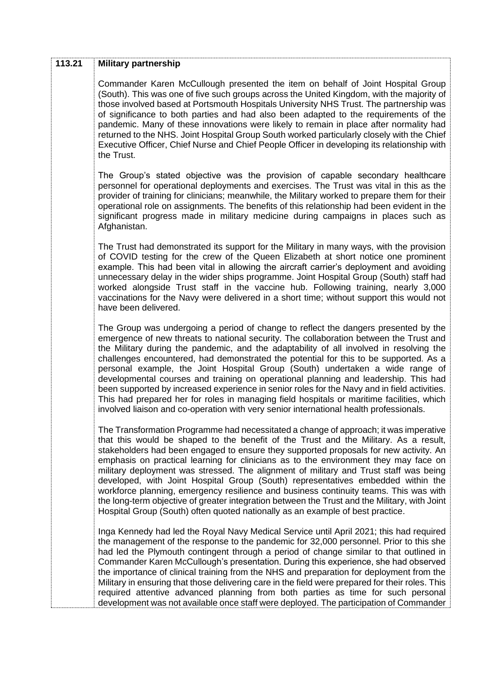| 113.21 | <b>Military partnership</b>                                                                                                                                                                                                                                                                                                                                                                                                                                                                                                                                                                                                                                                                                                                                                                                                      |
|--------|----------------------------------------------------------------------------------------------------------------------------------------------------------------------------------------------------------------------------------------------------------------------------------------------------------------------------------------------------------------------------------------------------------------------------------------------------------------------------------------------------------------------------------------------------------------------------------------------------------------------------------------------------------------------------------------------------------------------------------------------------------------------------------------------------------------------------------|
|        | Commander Karen McCullough presented the item on behalf of Joint Hospital Group<br>(South). This was one of five such groups across the United Kingdom, with the majority of<br>those involved based at Portsmouth Hospitals University NHS Trust. The partnership was<br>of significance to both parties and had also been adapted to the requirements of the<br>pandemic. Many of these innovations were likely to remain in place after normality had<br>returned to the NHS. Joint Hospital Group South worked particularly closely with the Chief<br>Executive Officer, Chief Nurse and Chief People Officer in developing its relationship with<br>the Trust.                                                                                                                                                              |
|        | The Group's stated objective was the provision of capable secondary healthcare<br>personnel for operational deployments and exercises. The Trust was vital in this as the<br>provider of training for clinicians; meanwhile, the Military worked to prepare them for their<br>operational role on assignments. The benefits of this relationship had been evident in the<br>significant progress made in military medicine during campaigns in places such as<br>Afghanistan.                                                                                                                                                                                                                                                                                                                                                    |
|        | The Trust had demonstrated its support for the Military in many ways, with the provision<br>of COVID testing for the crew of the Queen Elizabeth at short notice one prominent<br>example. This had been vital in allowing the aircraft carrier's deployment and avoiding<br>unnecessary delay in the wider ships programme. Joint Hospital Group (South) staff had<br>worked alongside Trust staff in the vaccine hub. Following training, nearly 3,000<br>vaccinations for the Navy were delivered in a short time; without support this would not<br>have been delivered.                                                                                                                                                                                                                                                     |
|        | The Group was undergoing a period of change to reflect the dangers presented by the<br>emergence of new threats to national security. The collaboration between the Trust and<br>the Military during the pandemic, and the adaptability of all involved in resolving the<br>challenges encountered, had demonstrated the potential for this to be supported. As a<br>personal example, the Joint Hospital Group (South) undertaken a wide range of<br>developmental courses and training on operational planning and leadership. This had<br>been supported by increased experience in senior roles for the Navy and in field activities.<br>This had prepared her for roles in managing field hospitals or maritime facilities, which<br>involved liaison and co-operation with very senior international health professionals. |
|        | The Transformation Programme had necessitated a change of approach; it was imperative<br>that this would be shaped to the benefit of the Trust and the Military. As a result,<br>stakeholders had been engaged to ensure they supported proposals for new activity. An<br>emphasis on practical learning for clinicians as to the environment they may face on<br>military deployment was stressed. The alignment of military and Trust staff was being<br>developed, with Joint Hospital Group (South) representatives embedded within the<br>workforce planning, emergency resilience and business continuity teams. This was with<br>the long-term objective of greater integration between the Trust and the Military, with Joint<br>Hospital Group (South) often quoted nationally as an example of best practice.          |
|        | Inga Kennedy had led the Royal Navy Medical Service until April 2021; this had required<br>the management of the response to the pandemic for 32,000 personnel. Prior to this she<br>had led the Plymouth contingent through a period of change similar to that outlined in<br>Commander Karen McCullough's presentation. During this experience, she had observed<br>the importance of clinical training from the NHS and preparation for deployment from the<br>Military in ensuring that those delivering care in the field were prepared for their roles. This<br>required attentive advanced planning from both parties as time for such personal<br>development was not available once staff were deployed. The participation of Commander                                                                                 |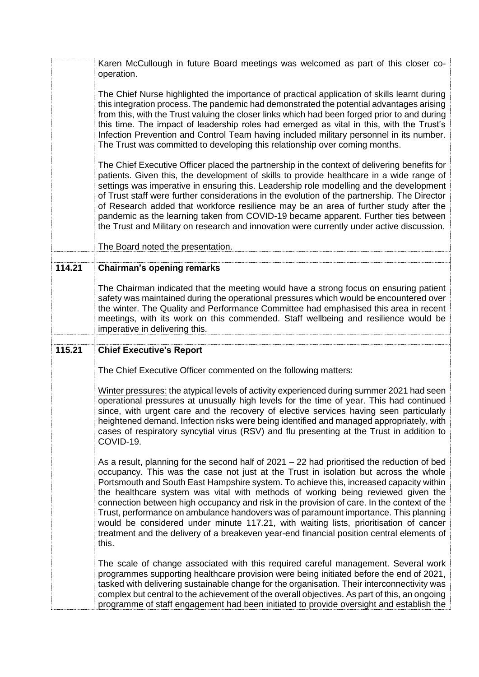|        | Karen McCullough in future Board meetings was welcomed as part of this closer co-<br>operation.                                                                                                                                                                                                                                                                                                                                                                                                                                                                                                                                                                                                                                                          |
|--------|----------------------------------------------------------------------------------------------------------------------------------------------------------------------------------------------------------------------------------------------------------------------------------------------------------------------------------------------------------------------------------------------------------------------------------------------------------------------------------------------------------------------------------------------------------------------------------------------------------------------------------------------------------------------------------------------------------------------------------------------------------|
|        | The Chief Nurse highlighted the importance of practical application of skills learnt during<br>this integration process. The pandemic had demonstrated the potential advantages arising<br>from this, with the Trust valuing the closer links which had been forged prior to and during<br>this time. The impact of leadership roles had emerged as vital in this, with the Trust's<br>Infection Prevention and Control Team having included military personnel in its number.<br>The Trust was committed to developing this relationship over coming months.                                                                                                                                                                                            |
|        | The Chief Executive Officer placed the partnership in the context of delivering benefits for<br>patients. Given this, the development of skills to provide healthcare in a wide range of<br>settings was imperative in ensuring this. Leadership role modelling and the development<br>of Trust staff were further considerations in the evolution of the partnership. The Director<br>of Research added that workforce resilience may be an area of further study after the<br>pandemic as the learning taken from COVID-19 became apparent. Further ties between<br>the Trust and Military on research and innovation were currently under active discussion.                                                                                          |
|        | The Board noted the presentation.                                                                                                                                                                                                                                                                                                                                                                                                                                                                                                                                                                                                                                                                                                                        |
| 114.21 | <b>Chairman's opening remarks</b>                                                                                                                                                                                                                                                                                                                                                                                                                                                                                                                                                                                                                                                                                                                        |
|        | The Chairman indicated that the meeting would have a strong focus on ensuring patient<br>safety was maintained during the operational pressures which would be encountered over<br>the winter. The Quality and Performance Committee had emphasised this area in recent<br>meetings, with its work on this commended. Staff wellbeing and resilience would be<br>imperative in delivering this.                                                                                                                                                                                                                                                                                                                                                          |
| 115.21 | <b>Chief Executive's Report</b>                                                                                                                                                                                                                                                                                                                                                                                                                                                                                                                                                                                                                                                                                                                          |
|        |                                                                                                                                                                                                                                                                                                                                                                                                                                                                                                                                                                                                                                                                                                                                                          |
|        | The Chief Executive Officer commented on the following matters:                                                                                                                                                                                                                                                                                                                                                                                                                                                                                                                                                                                                                                                                                          |
|        | Winter pressures: the atypical levels of activity experienced during summer 2021 had seen<br>operational pressures at unusually high levels for the time of year. This had continued<br>since, with urgent care and the recovery of elective services having seen particularly<br>heightened demand. Infection risks were being identified and managed appropriately, with<br>cases of respiratory syncytial virus (RSV) and flu presenting at the Trust in addition to<br>COVID-19.                                                                                                                                                                                                                                                                     |
|        | As a result, planning for the second half of $2021 - 22$ had prioritised the reduction of bed<br>occupancy. This was the case not just at the Trust in isolation but across the whole<br>Portsmouth and South East Hampshire system. To achieve this, increased capacity within<br>the healthcare system was vital with methods of working being reviewed given the<br>connection between high occupancy and risk in the provision of care. In the context of the<br>Trust, performance on ambulance handovers was of paramount importance. This planning<br>would be considered under minute 117.21, with waiting lists, prioritisation of cancer<br>treatment and the delivery of a breakeven year-end financial position central elements of<br>this. |
|        | The scale of change associated with this required careful management. Several work<br>programmes supporting healthcare provision were being initiated before the end of 2021,<br>tasked with delivering sustainable change for the organisation. Their interconnectivity was<br>complex but central to the achievement of the overall objectives. As part of this, an ongoing<br>programme of staff engagement had been initiated to provide oversight and establish the                                                                                                                                                                                                                                                                                 |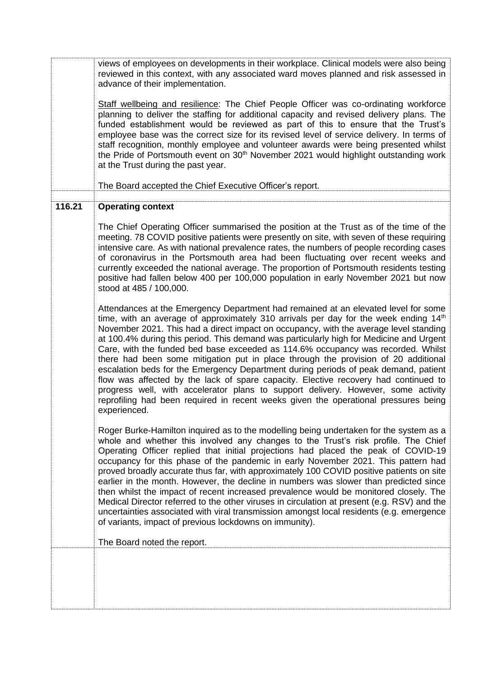views of employees on developments in their workplace. Clinical models were also being reviewed in this context, with any associated ward moves planned and risk assessed in advance of their implementation.

Staff wellbeing and resilience: The Chief People Officer was co-ordinating workforce planning to deliver the staffing for additional capacity and revised delivery plans. The funded establishment would be reviewed as part of this to ensure that the Trust's employee base was the correct size for its revised level of service delivery. In terms of staff recognition, monthly employee and volunteer awards were being presented whilst the Pride of Portsmouth event on 30<sup>th</sup> November 2021 would highlight outstanding work at the Trust during the past year.

The Board accepted the Chief Executive Officer's report.

## **116.21 Operating context**

The Chief Operating Officer summarised the position at the Trust as of the time of the meeting. 78 COVID positive patients were presently on site, with seven of these requiring intensive care. As with national prevalence rates, the numbers of people recording cases of coronavirus in the Portsmouth area had been fluctuating over recent weeks and currently exceeded the national average. The proportion of Portsmouth residents testing positive had fallen below 400 per 100,000 population in early November 2021 but now stood at 485 / 100,000.

Attendances at the Emergency Department had remained at an elevated level for some time, with an average of approximately 310 arrivals per day for the week ending  $14<sup>th</sup>$ November 2021. This had a direct impact on occupancy, with the average level standing at 100.4% during this period. This demand was particularly high for Medicine and Urgent Care, with the funded bed base exceeded as 114.6% occupancy was recorded. Whilst there had been some mitigation put in place through the provision of 20 additional escalation beds for the Emergency Department during periods of peak demand, patient flow was affected by the lack of spare capacity. Elective recovery had continued to progress well, with accelerator plans to support delivery. However, some activity reprofiling had been required in recent weeks given the operational pressures being experienced.

Roger Burke-Hamilton inquired as to the modelling being undertaken for the system as a whole and whether this involved any changes to the Trust's risk profile. The Chief Operating Officer replied that initial projections had placed the peak of COVID-19 occupancy for this phase of the pandemic in early November 2021. This pattern had proved broadly accurate thus far, with approximately 100 COVID positive patients on site earlier in the month. However, the decline in numbers was slower than predicted since then whilst the impact of recent increased prevalence would be monitored closely. The Medical Director referred to the other viruses in circulation at present (e.g. RSV) and the uncertainties associated with viral transmission amongst local residents (e.g. emergence of variants, impact of previous lockdowns on immunity).

The Board noted the report.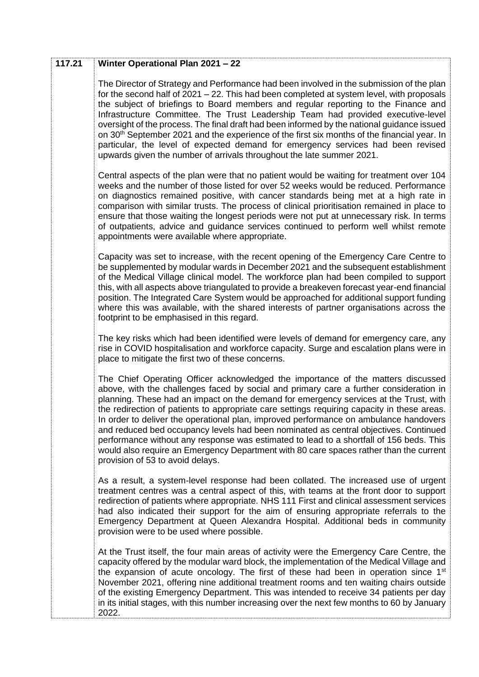| 117.21 | Winter Operational Plan 2021 - 22                                                                                                                                                                                                                                                                                                                                                                                                                                                                                                                                                                                                                                                                                                                                            |
|--------|------------------------------------------------------------------------------------------------------------------------------------------------------------------------------------------------------------------------------------------------------------------------------------------------------------------------------------------------------------------------------------------------------------------------------------------------------------------------------------------------------------------------------------------------------------------------------------------------------------------------------------------------------------------------------------------------------------------------------------------------------------------------------|
|        | The Director of Strategy and Performance had been involved in the submission of the plan<br>for the second half of 2021 – 22. This had been completed at system level, with proposals<br>the subject of briefings to Board members and regular reporting to the Finance and<br>Infrastructure Committee. The Trust Leadership Team had provided executive-level<br>oversight of the process. The final draft had been informed by the national guidance issued<br>on 30 <sup>th</sup> September 2021 and the experience of the first six months of the financial year. In<br>particular, the level of expected demand for emergency services had been revised<br>upwards given the number of arrivals throughout the late summer 2021.                                       |
|        | Central aspects of the plan were that no patient would be waiting for treatment over 104<br>weeks and the number of those listed for over 52 weeks would be reduced. Performance<br>on diagnostics remained positive, with cancer standards being met at a high rate in<br>comparison with similar trusts. The process of clinical prioritisation remained in place to<br>ensure that those waiting the longest periods were not put at unnecessary risk. In terms<br>of outpatients, advice and guidance services continued to perform well whilst remote<br>appointments were available where appropriate.                                                                                                                                                                 |
|        | Capacity was set to increase, with the recent opening of the Emergency Care Centre to<br>be supplemented by modular wards in December 2021 and the subsequent establishment<br>of the Medical Village clinical model. The workforce plan had been compiled to support<br>this, with all aspects above triangulated to provide a breakeven forecast year-end financial<br>position. The Integrated Care System would be approached for additional support funding<br>where this was available, with the shared interests of partner organisations across the<br>footprint to be emphasised in this regard.                                                                                                                                                                    |
|        | The key risks which had been identified were levels of demand for emergency care, any<br>rise in COVID hospitalisation and workforce capacity. Surge and escalation plans were in<br>place to mitigate the first two of these concerns.                                                                                                                                                                                                                                                                                                                                                                                                                                                                                                                                      |
|        | The Chief Operating Officer acknowledged the importance of the matters discussed<br>above, with the challenges faced by social and primary care a further consideration in<br>planning. These had an impact on the demand for emergency services at the Trust, with<br>the redirection of patients to appropriate care settings requiring capacity in these areas.<br>In order to deliver the operational plan, improved performance on ambulance handovers<br>and reduced bed occupancy levels had been nominated as central objectives. Continued<br>performance without any response was estimated to lead to a shortfall of 156 beds. This<br>would also require an Emergency Department with 80 care spaces rather than the current<br>provision of 53 to avoid delays. |
|        | As a result, a system-level response had been collated. The increased use of urgent<br>treatment centres was a central aspect of this, with teams at the front door to support<br>redirection of patients where appropriate. NHS 111 First and clinical assessment services<br>had also indicated their support for the aim of ensuring appropriate referrals to the<br>Emergency Department at Queen Alexandra Hospital. Additional beds in community<br>provision were to be used where possible.                                                                                                                                                                                                                                                                          |
|        | At the Trust itself, the four main areas of activity were the Emergency Care Centre, the<br>capacity offered by the modular ward block, the implementation of the Medical Village and<br>the expansion of acute oncology. The first of these had been in operation since 1 <sup>st</sup><br>November 2021, offering nine additional treatment rooms and ten waiting chairs outside<br>of the existing Emergency Department. This was intended to receive 34 patients per day<br>in its initial stages, with this number increasing over the next few months to 60 by January<br>2022.                                                                                                                                                                                        |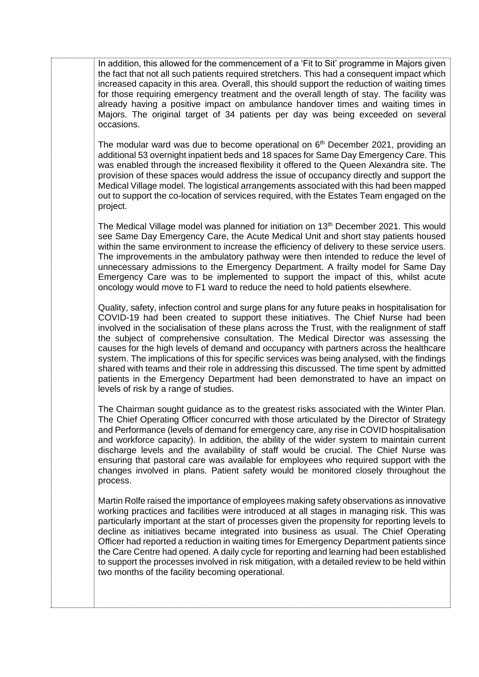In addition, this allowed for the commencement of a 'Fit to Sit' programme in Majors given the fact that not all such patients required stretchers. This had a consequent impact which increased capacity in this area. Overall, this should support the reduction of waiting times for those requiring emergency treatment and the overall length of stay. The facility was already having a positive impact on ambulance handover times and waiting times in Majors. The original target of 34 patients per day was being exceeded on several occasions.

The modular ward was due to become operational on  $6<sup>th</sup>$  December 2021, providing an additional 53 overnight inpatient beds and 18 spaces for Same Day Emergency Care. This was enabled through the increased flexibility it offered to the Queen Alexandra site. The provision of these spaces would address the issue of occupancy directly and support the Medical Village model. The logistical arrangements associated with this had been mapped out to support the co-location of services required, with the Estates Team engaged on the project.

The Medical Village model was planned for initiation on 13<sup>th</sup> December 2021. This would see Same Day Emergency Care, the Acute Medical Unit and short stay patients housed within the same environment to increase the efficiency of delivery to these service users. The improvements in the ambulatory pathway were then intended to reduce the level of unnecessary admissions to the Emergency Department. A frailty model for Same Day Emergency Care was to be implemented to support the impact of this, whilst acute oncology would move to F1 ward to reduce the need to hold patients elsewhere.

Quality, safety, infection control and surge plans for any future peaks in hospitalisation for COVID-19 had been created to support these initiatives. The Chief Nurse had been involved in the socialisation of these plans across the Trust, with the realignment of staff the subject of comprehensive consultation. The Medical Director was assessing the causes for the high levels of demand and occupancy with partners across the healthcare system. The implications of this for specific services was being analysed, with the findings shared with teams and their role in addressing this discussed. The time spent by admitted patients in the Emergency Department had been demonstrated to have an impact on levels of risk by a range of studies.

The Chairman sought guidance as to the greatest risks associated with the Winter Plan. The Chief Operating Officer concurred with those articulated by the Director of Strategy and Performance (levels of demand for emergency care, any rise in COVID hospitalisation and workforce capacity). In addition, the ability of the wider system to maintain current discharge levels and the availability of staff would be crucial. The Chief Nurse was ensuring that pastoral care was available for employees who required support with the changes involved in plans. Patient safety would be monitored closely throughout the process.

Martin Rolfe raised the importance of employees making safety observations as innovative working practices and facilities were introduced at all stages in managing risk. This was particularly important at the start of processes given the propensity for reporting levels to decline as initiatives became integrated into business as usual. The Chief Operating Officer had reported a reduction in waiting times for Emergency Department patients since the Care Centre had opened. A daily cycle for reporting and learning had been established to support the processes involved in risk mitigation, with a detailed review to be held within two months of the facility becoming operational.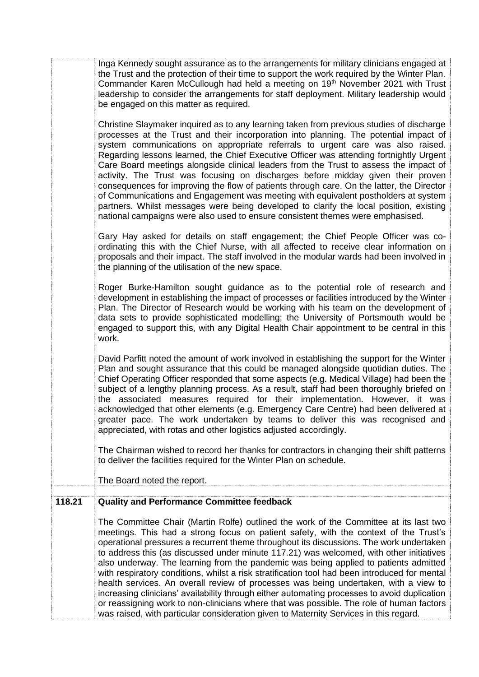|        | Inga Kennedy sought assurance as to the arrangements for military clinicians engaged at<br>the Trust and the protection of their time to support the work required by the Winter Plan.<br>Commander Karen McCullough had held a meeting on 19th November 2021 with Trust<br>leadership to consider the arrangements for staff deployment. Military leadership would<br>be engaged on this matter as required.                                                                                                                                                                                                                                                                                                                                                                                                                                                                                                                             |
|--------|-------------------------------------------------------------------------------------------------------------------------------------------------------------------------------------------------------------------------------------------------------------------------------------------------------------------------------------------------------------------------------------------------------------------------------------------------------------------------------------------------------------------------------------------------------------------------------------------------------------------------------------------------------------------------------------------------------------------------------------------------------------------------------------------------------------------------------------------------------------------------------------------------------------------------------------------|
|        | Christine Slaymaker inquired as to any learning taken from previous studies of discharge<br>processes at the Trust and their incorporation into planning. The potential impact of<br>system communications on appropriate referrals to urgent care was also raised.<br>Regarding lessons learned, the Chief Executive Officer was attending fortnightly Urgent<br>Care Board meetings alongside clinical leaders from the Trust to assess the impact of<br>activity. The Trust was focusing on discharges before midday given their proven<br>consequences for improving the flow of patients through care. On the latter, the Director<br>of Communications and Engagement was meeting with equivalent postholders at system<br>partners. Whilst messages were being developed to clarify the local position, existing<br>national campaigns were also used to ensure consistent themes were emphasised.                                 |
|        | Gary Hay asked for details on staff engagement; the Chief People Officer was co-<br>ordinating this with the Chief Nurse, with all affected to receive clear information on<br>proposals and their impact. The staff involved in the modular wards had been involved in<br>the planning of the utilisation of the new space.                                                                                                                                                                                                                                                                                                                                                                                                                                                                                                                                                                                                              |
|        | Roger Burke-Hamilton sought guidance as to the potential role of research and<br>development in establishing the impact of processes or facilities introduced by the Winter<br>Plan. The Director of Research would be working with his team on the development of<br>data sets to provide sophisticated modelling; the University of Portsmouth would be<br>engaged to support this, with any Digital Health Chair appointment to be central in this<br>work.                                                                                                                                                                                                                                                                                                                                                                                                                                                                            |
|        | David Parfitt noted the amount of work involved in establishing the support for the Winter<br>Plan and sought assurance that this could be managed alongside quotidian duties. The<br>Chief Operating Officer responded that some aspects (e.g. Medical Village) had been the<br>subject of a lengthy planning process. As a result, staff had been thoroughly briefed on<br>the associated measures required for their implementation. However, it was<br>acknowledged that other elements (e.g. Emergency Care Centre) had been delivered at<br>greater pace. The work undertaken by teams to deliver this was recognised and<br>appreciated, with rotas and other logistics adjusted accordingly.                                                                                                                                                                                                                                      |
|        | The Chairman wished to record her thanks for contractors in changing their shift patterns<br>to deliver the facilities required for the Winter Plan on schedule.<br>The Board noted the report.                                                                                                                                                                                                                                                                                                                                                                                                                                                                                                                                                                                                                                                                                                                                           |
| 118.21 | <b>Quality and Performance Committee feedback</b>                                                                                                                                                                                                                                                                                                                                                                                                                                                                                                                                                                                                                                                                                                                                                                                                                                                                                         |
|        | The Committee Chair (Martin Rolfe) outlined the work of the Committee at its last two<br>meetings. This had a strong focus on patient safety, with the context of the Trust's<br>operational pressures a recurrent theme throughout its discussions. The work undertaken<br>to address this (as discussed under minute 117.21) was welcomed, with other initiatives<br>also underway. The learning from the pandemic was being applied to patients admitted<br>with respiratory conditions, whilst a risk stratification tool had been introduced for mental<br>health services. An overall review of processes was being undertaken, with a view to<br>increasing clinicians' availability through either automating processes to avoid duplication<br>or reassigning work to non-clinicians where that was possible. The role of human factors<br>was raised, with particular consideration given to Maternity Services in this regard. |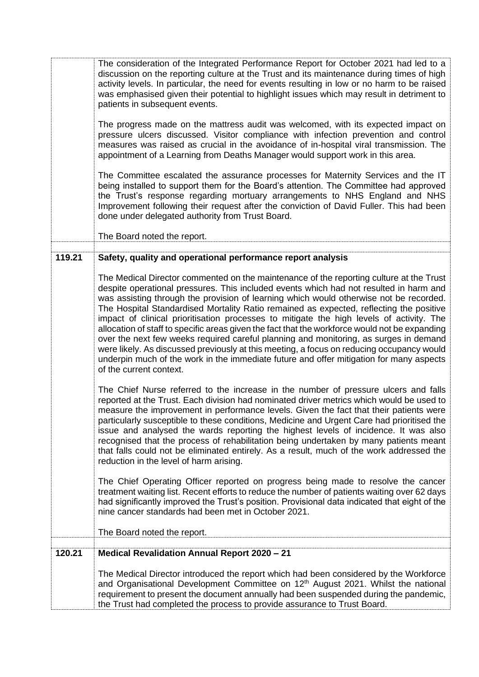|        | The consideration of the Integrated Performance Report for October 2021 had led to a<br>discussion on the reporting culture at the Trust and its maintenance during times of high<br>activity levels. In particular, the need for events resulting in low or no harm to be raised<br>was emphasised given their potential to highlight issues which may result in detriment to<br>patients in subsequent events.<br>The progress made on the mattress audit was welcomed, with its expected impact on<br>pressure ulcers discussed. Visitor compliance with infection prevention and control<br>measures was raised as crucial in the avoidance of in-hospital viral transmission. The<br>appointment of a Learning from Deaths Manager would support work in this area.<br>The Committee escalated the assurance processes for Maternity Services and the IT<br>being installed to support them for the Board's attention. The Committee had approved<br>the Trust's response regarding mortuary arrangements to NHS England and NHS<br>Improvement following their request after the conviction of David Fuller. This had been<br>done under delegated authority from Trust Board. |
|--------|--------------------------------------------------------------------------------------------------------------------------------------------------------------------------------------------------------------------------------------------------------------------------------------------------------------------------------------------------------------------------------------------------------------------------------------------------------------------------------------------------------------------------------------------------------------------------------------------------------------------------------------------------------------------------------------------------------------------------------------------------------------------------------------------------------------------------------------------------------------------------------------------------------------------------------------------------------------------------------------------------------------------------------------------------------------------------------------------------------------------------------------------------------------------------------------|
|        | The Board noted the report.                                                                                                                                                                                                                                                                                                                                                                                                                                                                                                                                                                                                                                                                                                                                                                                                                                                                                                                                                                                                                                                                                                                                                          |
| 119.21 | Safety, quality and operational performance report analysis                                                                                                                                                                                                                                                                                                                                                                                                                                                                                                                                                                                                                                                                                                                                                                                                                                                                                                                                                                                                                                                                                                                          |
|        | The Medical Director commented on the maintenance of the reporting culture at the Trust<br>despite operational pressures. This included events which had not resulted in harm and<br>was assisting through the provision of learning which would otherwise not be recorded.<br>The Hospital Standardised Mortality Ratio remained as expected, reflecting the positive<br>impact of clinical prioritisation processes to mitigate the high levels of activity. The<br>allocation of staff to specific areas given the fact that the workforce would not be expanding<br>over the next few weeks required careful planning and monitoring, as surges in demand<br>were likely. As discussed previously at this meeting, a focus on reducing occupancy would<br>underpin much of the work in the immediate future and offer mitigation for many aspects<br>of the current context.                                                                                                                                                                                                                                                                                                     |
|        | The Chief Nurse referred to the increase in the number of pressure ulcers and falls<br>reported at the Trust. Each division had nominated driver metrics which would be used to<br>measure the improvement in performance levels. Given the fact that their patients were<br>particularly susceptible to these conditions, Medicine and Urgent Care had prioritised the<br>issue and analysed the wards reporting the highest levels of incidence. It was also<br>recognised that the process of rehabilitation being undertaken by many patients meant<br>that falls could not be eliminated entirely. As a result, much of the work addressed the<br>reduction in the level of harm arising.                                                                                                                                                                                                                                                                                                                                                                                                                                                                                       |
|        | The Chief Operating Officer reported on progress being made to resolve the cancer<br>treatment waiting list. Recent efforts to reduce the number of patients waiting over 62 days<br>had significantly improved the Trust's position. Provisional data indicated that eight of the<br>nine cancer standards had been met in October 2021.                                                                                                                                                                                                                                                                                                                                                                                                                                                                                                                                                                                                                                                                                                                                                                                                                                            |
|        | The Board noted the report.                                                                                                                                                                                                                                                                                                                                                                                                                                                                                                                                                                                                                                                                                                                                                                                                                                                                                                                                                                                                                                                                                                                                                          |
| 120.21 | <b>Medical Revalidation Annual Report 2020 - 21</b>                                                                                                                                                                                                                                                                                                                                                                                                                                                                                                                                                                                                                                                                                                                                                                                                                                                                                                                                                                                                                                                                                                                                  |
|        | The Medical Director introduced the report which had been considered by the Workforce<br>and Organisational Development Committee on 12 <sup>th</sup> August 2021. Whilst the national<br>requirement to present the document annually had been suspended during the pandemic,<br>the Trust had completed the process to provide assurance to Trust Board.                                                                                                                                                                                                                                                                                                                                                                                                                                                                                                                                                                                                                                                                                                                                                                                                                           |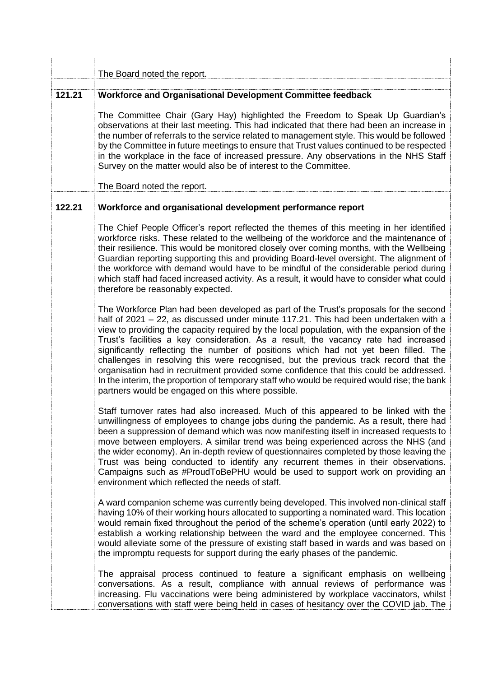|        | The Board noted the report.                                                                                                                                                                                                                                                                                                                                                                                                                                                                                                                                                                                                                                                                                                                                                                      |
|--------|--------------------------------------------------------------------------------------------------------------------------------------------------------------------------------------------------------------------------------------------------------------------------------------------------------------------------------------------------------------------------------------------------------------------------------------------------------------------------------------------------------------------------------------------------------------------------------------------------------------------------------------------------------------------------------------------------------------------------------------------------------------------------------------------------|
|        |                                                                                                                                                                                                                                                                                                                                                                                                                                                                                                                                                                                                                                                                                                                                                                                                  |
| 121.21 | Workforce and Organisational Development Committee feedback<br>The Committee Chair (Gary Hay) highlighted the Freedom to Speak Up Guardian's<br>observations at their last meeting. This had indicated that there had been an increase in<br>the number of referrals to the service related to management style. This would be followed<br>by the Committee in future meetings to ensure that Trust values continued to be respected<br>in the workplace in the face of increased pressure. Any observations in the NHS Staff<br>Survey on the matter would also be of interest to the Committee.<br>The Board noted the report.                                                                                                                                                                 |
|        |                                                                                                                                                                                                                                                                                                                                                                                                                                                                                                                                                                                                                                                                                                                                                                                                  |
| 122.21 | Workforce and organisational development performance report                                                                                                                                                                                                                                                                                                                                                                                                                                                                                                                                                                                                                                                                                                                                      |
|        | The Chief People Officer's report reflected the themes of this meeting in her identified<br>workforce risks. These related to the wellbeing of the workforce and the maintenance of<br>their resilience. This would be monitored closely over coming months, with the Wellbeing<br>Guardian reporting supporting this and providing Board-level oversight. The alignment of<br>the workforce with demand would have to be mindful of the considerable period during<br>which staff had faced increased activity. As a result, it would have to consider what could<br>therefore be reasonably expected.                                                                                                                                                                                          |
|        | The Workforce Plan had been developed as part of the Trust's proposals for the second<br>half of 2021 - 22, as discussed under minute 117.21. This had been undertaken with a<br>view to providing the capacity required by the local population, with the expansion of the<br>Trust's facilities a key consideration. As a result, the vacancy rate had increased<br>significantly reflecting the number of positions which had not yet been filled. The<br>challenges in resolving this were recognised, but the previous track record that the<br>organisation had in recruitment provided some confidence that this could be addressed.<br>In the interim, the proportion of temporary staff who would be required would rise; the bank<br>partners would be engaged on this where possible. |
|        | Staff turnover rates had also increased. Much of this appeared to be linked with the<br>unwillingness of employees to change jobs during the pandemic. As a result, there had<br>been a suppression of demand which was now manifesting itself in increased requests to<br>move between employers. A similar trend was being experienced across the NHS (and<br>the wider economy). An in-depth review of questionnaires completed by those leaving the<br>Trust was being conducted to identify any recurrent themes in their observations.<br>Campaigns such as #ProudToBePHU would be used to support work on providing an<br>environment which reflected the needs of staff.                                                                                                                 |
|        | A ward companion scheme was currently being developed. This involved non-clinical staff<br>having 10% of their working hours allocated to supporting a nominated ward. This location<br>would remain fixed throughout the period of the scheme's operation (until early 2022) to<br>establish a working relationship between the ward and the employee concerned. This<br>would alleviate some of the pressure of existing staff based in wards and was based on<br>the impromptu requests for support during the early phases of the pandemic.                                                                                                                                                                                                                                                  |
|        | The appraisal process continued to feature a significant emphasis on wellbeing<br>conversations. As a result, compliance with annual reviews of performance was<br>increasing. Flu vaccinations were being administered by workplace vaccinators, whilst<br>conversations with staff were being held in cases of hesitancy over the COVID jab. The                                                                                                                                                                                                                                                                                                                                                                                                                                               |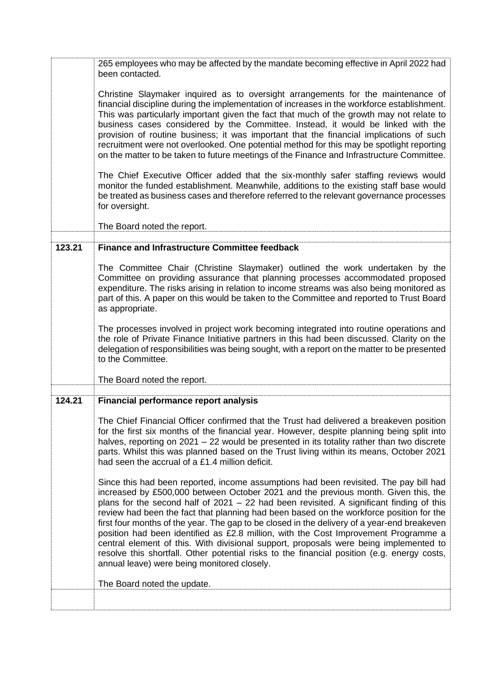|        | 265 employees who may be affected by the mandate becoming effective in April 2022 had<br>been contacted.                                                                                                                                                                                                                                                                                                                                                                                                                                                                                                                                                                                                                                                                                          |
|--------|---------------------------------------------------------------------------------------------------------------------------------------------------------------------------------------------------------------------------------------------------------------------------------------------------------------------------------------------------------------------------------------------------------------------------------------------------------------------------------------------------------------------------------------------------------------------------------------------------------------------------------------------------------------------------------------------------------------------------------------------------------------------------------------------------|
|        | Christine Slaymaker inquired as to oversight arrangements for the maintenance of<br>financial discipline during the implementation of increases in the workforce establishment.<br>This was particularly important given the fact that much of the growth may not relate to<br>business cases considered by the Committee. Instead, it would be linked with the<br>provision of routine business; it was important that the financial implications of such<br>recruitment were not overlooked. One potential method for this may be spotlight reporting<br>on the matter to be taken to future meetings of the Finance and Infrastructure Committee.                                                                                                                                              |
|        | The Chief Executive Officer added that the six-monthly safer staffing reviews would<br>monitor the funded establishment. Meanwhile, additions to the existing staff base would<br>be treated as business cases and therefore referred to the relevant governance processes<br>for oversight.                                                                                                                                                                                                                                                                                                                                                                                                                                                                                                      |
|        | The Board noted the report.                                                                                                                                                                                                                                                                                                                                                                                                                                                                                                                                                                                                                                                                                                                                                                       |
| 123.21 | <b>Finance and Infrastructure Committee feedback</b>                                                                                                                                                                                                                                                                                                                                                                                                                                                                                                                                                                                                                                                                                                                                              |
|        |                                                                                                                                                                                                                                                                                                                                                                                                                                                                                                                                                                                                                                                                                                                                                                                                   |
|        | The Committee Chair (Christine Slaymaker) outlined the work undertaken by the<br>Committee on providing assurance that planning processes accommodated proposed<br>expenditure. The risks arising in relation to income streams was also being monitored as<br>part of this. A paper on this would be taken to the Committee and reported to Trust Board<br>as appropriate.                                                                                                                                                                                                                                                                                                                                                                                                                       |
|        | The processes involved in project work becoming integrated into routine operations and<br>the role of Private Finance Initiative partners in this had been discussed. Clarity on the<br>delegation of responsibilities was being sought, with a report on the matter to be presented<br>to the Committee.                                                                                                                                                                                                                                                                                                                                                                                                                                                                                         |
|        | The Board noted the report.                                                                                                                                                                                                                                                                                                                                                                                                                                                                                                                                                                                                                                                                                                                                                                       |
| 124.21 | <b>Financial performance report analysis</b>                                                                                                                                                                                                                                                                                                                                                                                                                                                                                                                                                                                                                                                                                                                                                      |
|        | The Chief Financial Officer confirmed that the Trust had delivered a breakeven position<br>for the first six months of the financial year. However, despite planning being split into<br>halves, reporting on 2021 – 22 would be presented in its totality rather than two discrete<br>parts. Whilst this was planned based on the Trust living within its means, October 2021<br>had seen the accrual of a £1.4 million deficit.                                                                                                                                                                                                                                                                                                                                                                 |
|        | Since this had been reported, income assumptions had been revisited. The pay bill had<br>increased by £500,000 between October 2021 and the previous month. Given this, the<br>plans for the second half of $2021 - 22$ had been revisited. A significant finding of this<br>review had been the fact that planning had been based on the workforce position for the<br>first four months of the year. The gap to be closed in the delivery of a year-end breakeven<br>position had been identified as £2.8 million, with the Cost Improvement Programme a<br>central element of this. With divisional support, proposals were being implemented to<br>resolve this shortfall. Other potential risks to the financial position (e.g. energy costs,<br>annual leave) were being monitored closely. |
|        | The Board noted the update.                                                                                                                                                                                                                                                                                                                                                                                                                                                                                                                                                                                                                                                                                                                                                                       |
|        |                                                                                                                                                                                                                                                                                                                                                                                                                                                                                                                                                                                                                                                                                                                                                                                                   |